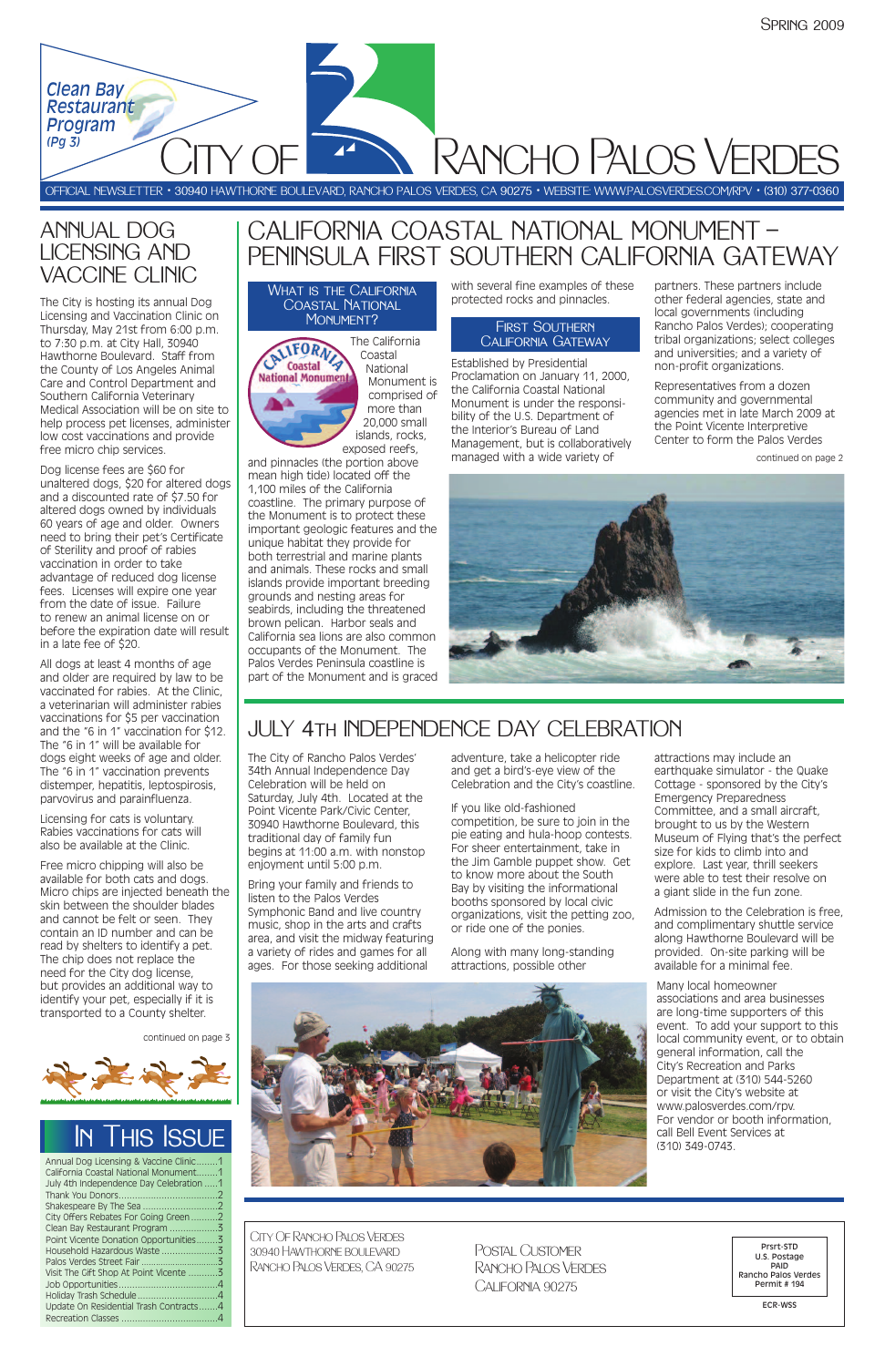The City of Rancho Palos Verdes' 34th Annual Independence Day Celebration will be held on Saturday, July 4th. Located at the Point Vicente Park/Civic Center, 30940 Hawthorne Boulevard, this traditional day of family fun begins at 11:00 a.m. with nonstop enjoyment until 5:00 p.m.

Bring your family and friends to listen to the Palos Verdes Symphonic Band and live country music, shop in the arts and crafts area, and visit the midway featuring a variety of rides and games for all ages. For those seeking additional

adventure, take a helicopter ride and get a bird's-eye view of the Celebration and the City's coastline.

If you like old-fashioned competition, be sure to join in the pie eating and hula-hoop contests. For sheer entertainment, take in the Jim Gamble puppet show. Get to know more about the South Bay by visiting the informational booths sponsored by local civic organizations, visit the petting zoo, or ride one of the ponies.

Along with many long-standing attractions, possible other

attractions may include an earthquake simulator - the Quake Cottage - sponsored by the City's Emergency Preparedness Committee, and a small aircraft, brought to us by the Western Museum of Flying that's the perfect size for kids to climb into and explore. Last year, thrill seekers were able to test their resolve on a giant slide in the fun zone.

Admission to the Celebration is free, and complimentary shuttle service along Hawthorne Boulevard will be provided. On-site parking will be available for a minimal fee.

Many local homeowner associations and area businesses are long-time supporters of this event. To add your support to this local community event, or to obtain general information, call the City's Recreation and Parks Department at (310) 544-5260 or visit the City's website at www.palosverdes.com/rpv. For vendor or booth information, call Bell Event Services at (310) 349-0743.



National Monument is comprised of more than 20,000 small islands, rocks, exposed reefs,

> Postal Customer Rancho Palos Verdes CALIFORNIA 90275

and pinnacles (the portion above mean high tide) located off the 1,100 miles of the California coastline. The primary purpose of the Monument is to protect these important geologic features and the unique habitat they provide for both terrestrial and marine plants and animals. These rocks and small islands provide important breeding grounds and nesting areas for seabirds, including the threatened brown pelican. Harbor seals and California sea lions are also common occupants of the Monument. The Palos Verdes Peninsula coastline is part of the Monument and is graced with several fine examples of these protected rocks and pinnacles.

Established by Presidential Proclamation on January 11, 2000, the California Coastal National Monument is under the responsibility of the U.S. Department of the Interior's Bureau of Land Management, but is collaboratively managed with a wide variety of

partners. These partners include other federal agencies, state and local governments (including Rancho Palos Verdes); cooperating tribal organizations; select colleges and universities; and a variety of non-profit organizations.

Representatives from a dozen community and governmental agencies met in late March 2009 at the Point Vicente Interpretive Center to form the Palos Verdes

What is the California Coastal National MONUMENT?

| Annual Dog Licensing & Vaccine Clinic1  |  |
|-----------------------------------------|--|
| California Coastal National Monument1   |  |
| July 4th Independence Day Celebration 1 |  |
|                                         |  |
|                                         |  |
| City Offers Rebates For Going Green2    |  |
|                                         |  |
| Point Vicente Donation Opportunities3   |  |
|                                         |  |
|                                         |  |
| Visit The Gift Shop At Point Vicente 3  |  |
|                                         |  |
|                                         |  |
| Update On Residential Trash Contracts4  |  |
|                                         |  |
|                                         |  |



OFFICIAL NEWSLETTER • 30940 HAWTHORNE BOULEVARD, RANCHO PALOS VERDES, CA 90275 • WEBSITE: WWW.PALOSVERDES.COM/RPV • (310) 377-0360

**RANCHO PALOS VERDES** 

City Of Rancho Palos Verdes 30940 Hawthorne boulevard Rancho Palos Verdes, CA 90275

Prsrt-STD U.S. Postage PAID Rancho Palos Verdes Permit # 194

ECR-WSS



### ANNUAL DOG LICENSING AND VACCINE CLINIC

The City is hosting its annual Dog Licensing and Vaccination Clinic on Thursday, May 21st from 6:00 p.m. to 7:30 p.m. at City Hall, 30940 Hawthorne Boulevard. Staff from the County of Los Angeles Animal Care and Control Department and Southern California Veterinary Medical Association will be on site to help process pet licenses, administer low cost vaccinations and provide free micro chip services.

Dog license fees are \$60 for unaltered dogs, \$20 for altered dogs and a discounted rate of \$7.50 for altered dogs owned by individuals 60 years of age and older. Owners need to bring their pet's Certificate of Sterility and proof of rabies vaccination in order to take advantage of reduced dog license fees. Licenses will expire one year from the date of issue. Failure to renew an animal license on or before the expiration date will result in a late fee of \$20.

All dogs at least 4 months of age and older are required by law to be vaccinated for rabies. At the Clinic, a veterinarian will administer rabies vaccinations for \$5 per vaccination and the "6 in 1" vaccination for \$12. The "6 in 1" will be available for dogs eight weeks of age and older. The "6 in 1" vaccination prevents distemper, hepatitis, leptospirosis, parvovirus and parainfluenza.

Licensing for cats is voluntary. Rabies vaccinations for cats will also be available at the Clinic.

Free micro chipping will also be available for both cats and dogs. Micro chips are injected beneath the skin between the shoulder blades and cannot be felt or seen. They contain an ID number and can be read by shelters to identify a pet. The chip does not replace the need for the City dog license, but provides an additional way to identify your pet, especially if it is

#### transported to a County shelter.

## CALIFORNIA COASTAL NATIONAL MONUMENT — PENINSULA FIRST SOUTHERN CALIFORNIA GATEWAY

## JULY 4th INDEPENDENCE DAY CELEBRATION

continued on page 3



continued on page 2



#### First Southern California Gateway

*Clean Bay Clean Bay Restaurant Restaurant Program Program*

*(Pg 3) (Pg 3)*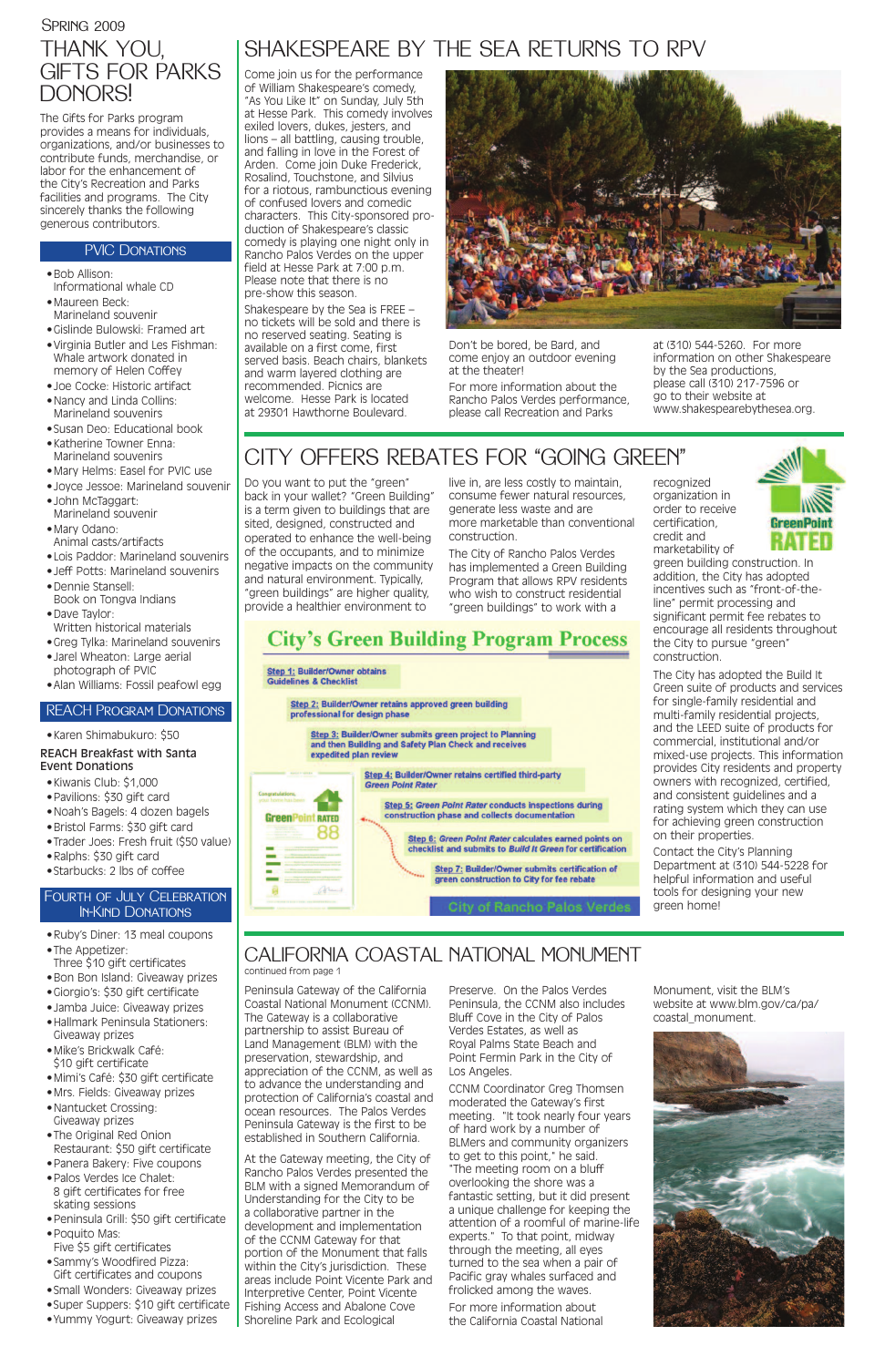The Gifts for Parks program provides a means for individuals, organizations, and/or businesses to contribute funds, merchandise, or labor for the enhancement of the City's Recreation and Parks facilities and programs. The City sincerely thanks the following generous contributors.

### PVIC DONATIONS

- •Bob Allison: Informational whale CD
- •Maureen Beck: Marineland souvenir
- •Gislinde Bulowski: Framed art
- •Virginia Butler and Les Fishman: Whale artwork donated in memory of Helen Coffey
- •Joe Cocke: Historic artifact
- •Nancy and Linda Collins: Marineland souvenirs
- •Susan Deo: Educational book
- •Katherine Towner Enna: Marineland souvenirs
- •Mary Helms: Easel for PVIC use
- •Joyce Jessoe: Marineland souvenir
- •John McTaggart: Marineland souvenir
- •Mary Odano:
- Animal casts/artifacts
- •Lois Paddor: Marineland souvenirs
- •Jeff Potts: Marineland souvenirs •Dennie Stansell:
- Book on Tongva Indians
- •Dave Taylor: Written historical materials
- •Greg Tylka: Marineland souvenirs
- •Jarel Wheaton: Large aerial photograph of PVIC
- •Alan Williams: Fossil peafowl egg

### •Karen Shimabukuro: \$50 REACH Breakfast with Santa Event Donations

- •Kiwanis Club: \$1,000
- •Pavilions: \$30 gift card
- •Noah's Bagels: 4 dozen bagels
- •Bristol Farms: \$30 gift card
- •Trader Joes: Fresh fruit (\$50 value)
- •Ralphs: \$30 gift card
- •Starbucks: 2 lbs of coffee

- •Ruby's Diner: 13 meal coupons
- •The Appetizer:
- Three \$10 gift certificates •Bon Bon Island: Giveaway prizes
- •Giorgio's: \$30 gift certificate
- •Jamba Juice: Giveaway prizes
- •Hallmark Peninsula Stationers: Giveaway prizes
- •Mike's Brickwalk Café: \$10 gift certificate
- •Mimi's Café: \$30 gift certificate
- •Mrs. Fields: Giveaway prizes
- •Nantucket Crossing: Giveaway prizes
- •The Original Red Onion Restaurant: \$50 gift certificate
- •Panera Bakery: Five coupons
- •Palos Verdes Ice Chalet: 8 gift certificates for free skating sessions
- •Peninsula Grill: \$50 gift certificate
- •Poquito Mas: Five \$5 gift certificates
- •Sammy's Woodfired Pizza: Gift certificates and coupons
- •Small Wonders: Giveaway prizes
- •Super Suppers: \$10 gift certificate
- •Yummy Yogurt: Giveaway prizes

### **SPRING 2009** THANK YOU, GIFTS FOR PARKS

### CALIFORNIA COASTAL NATIONAL MONUMENT continued from page 1

Peninsula Gateway of the California Coastal National Monument (CCNM). The Gateway is a collaborative partnership to assist Bureau of Land Management (BLM) with the preservation, stewardship, and appreciation of the CCNM, as well as to advance the understanding and protection of California's coastal and ocean resources. The Palos Verdes Peninsula Gateway is the first to be established in Southern California. At the Gateway meeting, the City of Rancho Palos Verdes presented the BLM with a signed Memorandum of Understanding for the City to be a collaborative partner in the development and implementation of the CCNM Gateway for that portion of the Monument that falls within the City's jurisdiction. These areas include Point Vicente Park and Interpretive Center, Point Vicente Fishing Access and Abalone Cove Shoreline Park and Ecological

Preserve. On the Palos Verdes Peninsula, the CCNM also includes Bluff Cove in the City of Palos Verdes Estates, as well as Royal Palms State Beach and Point Fermin Park in the City of Los Angeles. CCNM Coordinator Greg Thomsen moderated the Gateway's first meeting. "It took nearly four years of hard work by a number of BLMers and community organizers to get to this point," he said. "The meeting room on a bluff overlooking the shore was a fantastic setting, but it did present a unique challenge for keeping the attention of a roomful of marine-life experts." To that point, midway through the meeting, all eyes turned to the sea when a pair of Pacific gray whales surfaced and frolicked among the waves.

For more information about the California Coastal National



Monument, visit the BLM's website at www.blm.gov/ca/pa/ coastal\_monument.

## **City's Green Building Program Process**

#### **Step 1: Builder/Owner obtains Guidelines & Checklist**

**GreenPoint RATED** 

ø

88

annual

Step 2: Builder/Owner retains approved green building professional for design phase

Step 3: Builder/Owner submits green project to Planning and then Building and Safety Plan Check and receives expedited plan review

> Step 4: Builder/Owner retains certified third-party **Green Point Rater**

> > Step 5: Green Point Rater conducts inspections during construction phase and collects documentation

> > > Step 6: Green Point Rater calculates earned points on checklist and submits to Build It Green for certification

> > > > Step 7: Builder/Owner submits certification of green construction to City for fee rebate

> > > > > of Rancho Palos Verde

DONORS!

#### REACH Program Donations

### Fourth of July Celebration In-Kind Donations

## SHAKESPEARE BY THE SEA RETURNS TO RPV

Come join us for the performance of William Shakespeare's comedy, "As You Like It" on Sunday, July 5th at Hesse Park. This comedy involves exiled lovers, dukes, jesters, and lions – all battling, causing trouble, and falling in love in the Forest of Arden. Come join Duke Frederick, Rosalind, Touchstone, and Silvius for a riotous, rambunctious evening of confused lovers and comedic characters. This City-sponsored production of Shakespeare's classic comedy is playing one night only in Rancho Palos Verdes on the upper field at Hesse Park at 7:00 p.m. Please note that there is no pre-show this season.

Shakespeare by the Sea is FREE – no tickets will be sold and there is no reserved seating. Seating is available on a first come, first served basis. Beach chairs, blankets and warm layered clothing are recommended. Picnics are welcome. Hesse Park is located at 29301 Hawthorne Boulevard.



Don't be bored, be Bard, and come enjoy an outdoor evening at the theater!

For more information about the Rancho Palos Verdes performance, please call Recreation and Parks

at (310) 544-5260. For more information on other Shakespeare by the Sea productions, please call (310) 217-7596 or go to their website at www.shakespearebythesea.org.

## CITY OFFERS REBATES FOR "GOING GREEN"

Do you want to put the "green" back in your wallet? "Green Building" is a term given to buildings that are sited, designed, constructed and operated to enhance the well-being of the occupants, and to minimize negative impacts on the community and natural environment. Typically, "green buildings" are higher quality, provide a healthier environment to

live in, are less costly to maintain, consume fewer natural resources, generate less waste and are more marketable than conventional construction.

The City of Rancho Palos Verdes has implemented a Green Building Program that allows RPV residents who wish to construct residential "green buildings" to work with a

recognized organization in order to receive certification, credit and marketability of



green building construction. In addition, the City has adopted incentives such as "front-of-theline" permit processing and significant permit fee rebates to encourage all residents throughout the City to pursue "green" construction.

The City has adopted the Build It Green suite of products and services for single-family residential and multi-family residential projects, and the LEED suite of products for commercial, institutional and/or mixed-use projects. This information provides City residents and property owners with recognized, certified, and consistent guidelines and a rating system which they can use for achieving green construction on their properties.

Contact the City's Planning Department at (310) 544-5228 for helpful information and useful tools for designing your new green home!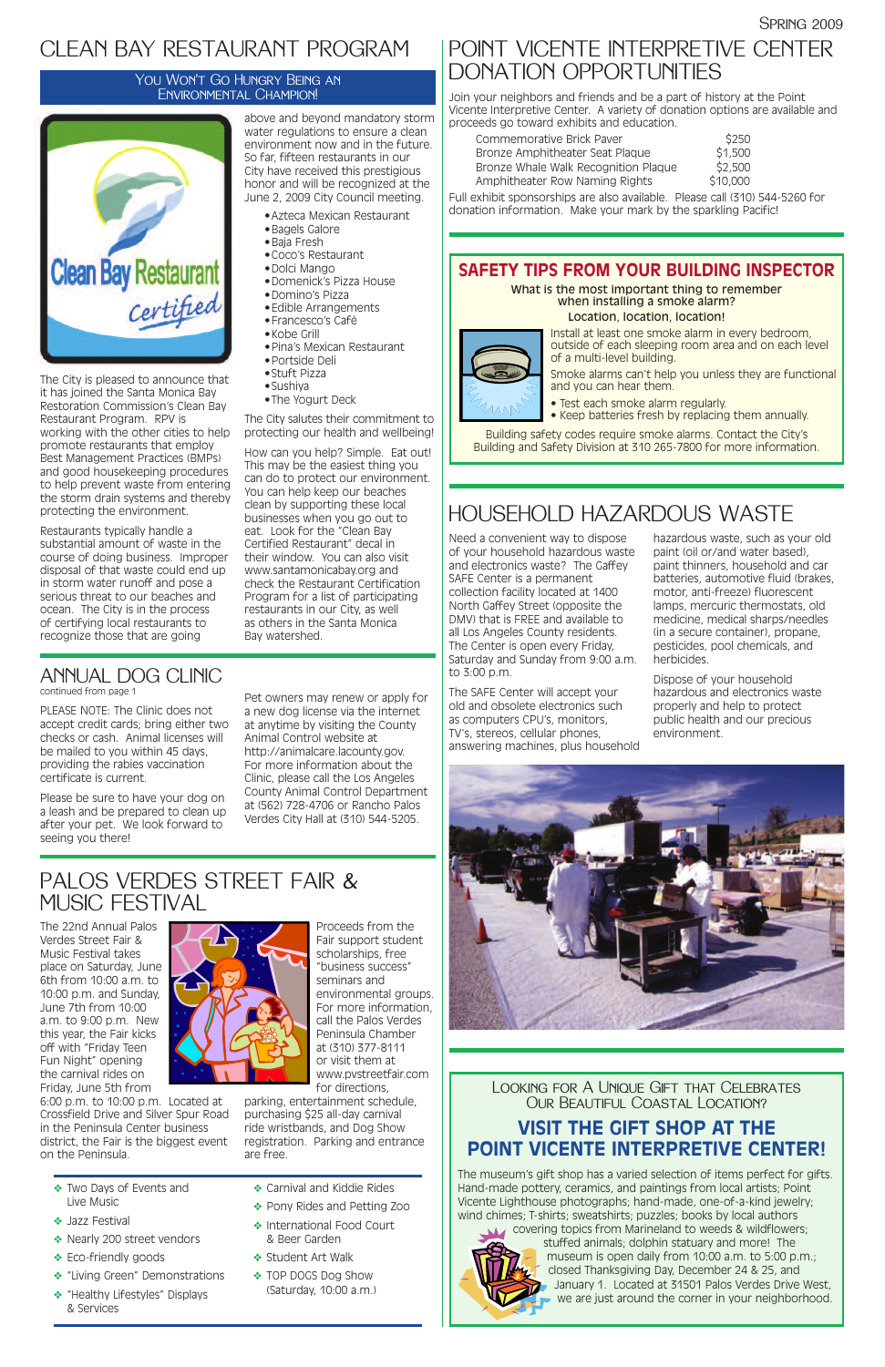Need a convenient way to dispose of your household hazardous waste and electronics waste? The Gaffey SAFE Center is a permanent collection facility located at 1400 North Gaffey Street (opposite the DMV) that is FREE and available to all Los Angeles County residents. The Center is open every Friday, Saturday and Sunday from 9:00 a.m. to 3:00 p.m.

14 A N

The SAFE Center will accept your old and obsolete electronics such as computers CPU's, monitors, TV's, stereos, cellular phones, answering machines, plus household hazardous waste, such as your old paint (oil or/and water based), paint thinners, household and car batteries, automotive fluid (brakes, motor, anti-freeze) fluorescent lamps, mercuric thermostats, old medicine, medical sharps/needles (in a secure container), propane, pesticides, pool chemicals, and herbicides.

covering topics from Marineland to weeds & wildflowers; stuffed animals; dolphin statuary and more! The museum is open daily from 10:00 a.m. to 5:00 p.m.; closed Thanksgiving Day, December 24 & 25, and January 1. Located at 31501 Palos Verdes Drive West, we are just around the corner in your neighborhood.

Dispose of your household hazardous and electronics waste properly and help to protect public health and our precious environment.



### Looking for A Unique Gift that Celebrates Our Beautiful Coastal Location?

### **VISIT THE GIFT SHOP AT THE POINT VICENTE INTERPRETIVE CENTER!**

The museum's gift shop has a varied selection of items perfect for gifts. Hand-made pottery, ceramics, and paintings from local artists; Point Vicente Lighthouse photographs; hand-made, one-of-a-kind jewelry; wind chimes; T-shirts; sweatshirts; puzzles; books by local authors



## POINT VICENTE INTERPRETIVE CENTER DONATION OPPORTUNITIES

Join your neighbors and friends and be a part of history at the Point Vicente Interpretive Center. A variety of donation options are available and proceeds go toward exhibits and education.

| Commemorative Brick Paver            | \$250    |
|--------------------------------------|----------|
| Bronze Amphitheater Seat Plaque      | \$1,500  |
| Bronze Whale Walk Recognition Plaque | \$2,500  |
| Amphitheater Row Naming Rights       | \$10,000 |

Full exhibit sponsorships are also available. Please call (310) 544-5260 for donation information. Make your mark by the sparkling Pacific!

## HOUSEHOLD HAZARDOUS WASTE

## CLEAN BAY RESTAURANT PROGRAM

The City is pleased to announce that it has joined the Santa Monica Bay Restoration Commission's Clean Bay Restaurant Program. RPV is working with the other cities to help promote restaurants that employ Best Management Practices (BMPs) and good housekeeping procedures to help prevent waste from entering the storm drain systems and thereby protecting the environment.

Restaurants typically handle a substantial amount of waste in the course of doing business. Improper disposal of that waste could end up in storm water runoff and pose a serious threat to our beaches and ocean. The City is in the process of certifying local restaurants to recognize those that are going

What is the most important thing to remember when installing a smoke alarm?

above and beyond mandatory storm water regulations to ensure a clean environment now and in the future. So far, fifteen restaurants in our City have received this prestigious honor and will be recognized at the June 2, 2009 City Council meeting.

- •Azteca Mexican Restaurant
- •Bagels Galore
- •Baja Fresh
- •Coco's Restaurant
- •Dolci Mango
- •Domenick's Pizza House
- •Domino's Pizza
- •Edible Arrangements
- •Francesco's Café
- •Kobe Grill
- •Pina's Mexican Restaurant
- •Portside Deli
- •Stuft Pizza
- •Sushiya
- •The Yogurt Deck

The City salutes their commitment to protecting our health and wellbeing!

How can you help? Simple. Eat out! This may be the easiest thing you can do to protect our environment. You can help keep our beaches clean by supporting these local businesses when you go out to eat. Look for the "Clean Bay Certified Restaurant" decal in their window. You can also visit www.santamonicabay.org and check the Restaurant Certification Program for a list of participating restaurants in our City, as well as others in the Santa Monica Bay watershed.

### You Won't Go Hungry Being an Environmental Champion!



PLEASE NOTE: The Clinic does not accept credit cards; bring either two checks or cash. Animal licenses will be mailed to you within 45 days, providing the rabies vaccination certificate is current.

Please be sure to have your dog on a leash and be prepared to clean up after your pet. We look forward to seeing you there!

Pet owners may renew or apply for a new dog license via the internet at anytime by visiting the County Animal Control website at http://animalcare.lacounty.gov. For more information about the Clinic, please call the Los Angeles County Animal Control Department at (562) 728-4706 or Rancho Palos Verdes City Hall at (310) 544-5205.

## ANNUAL DOG CLINIC

continued from page 1

The 22nd Annual Palos Verdes Street Fair & Music Festival takes place on Saturday, June 6th from 10:00 a.m. to 10:00 p.m. and Sunday, June 7th from 10:00 a.m. to 9:00 p.m. New this year, the Fair kicks off with "Friday Teen Fun Night" opening the carnival rides on Friday, June 5th from 6:00 p.m. to 10:00 p.m. Located at Crossfield Drive and Silver Spur Road in the Peninsula Center business district, the Fair is the biggest event on the Peninsula.



Proceeds from the Fair support student scholarships, free "business success" seminars and environmental groups. For more information, call the Palos Verdes Peninsula Chamber at (310) 377-8111 or visit them at www.pvstreetfair.com for directions, parking, entertainment schedule, purchasing \$25 all-day carnival ride wristbands, and Dog Show registration. Parking and entrance are free.

## PALOS VERDES STREET FAIR & MUSIC FESTIVAL

### **SAFETY TIPS FROM YOUR BUILDING INSPECTOR**

Location, location, location!

Install at least one smoke alarm in every bedroom, outside of each sleeping room area and on each level of a multi-level building.

Smoke alarms can't help you unless they are functional and you can hear them.

- Test each smoke alarm regularly.
- Keep batteries fresh by replacing them annually.

Building safety codes require smoke alarms. Contact the City's Building and Safety Division at 310 265-7800 for more information.

- ❖ Two Days of Events and Live Music
- ❖ Jazz Festival
- ❖ Nearly 200 street vendors
- ❖ Eco-friendly goods
- ❖ "Living Green" Demonstrations
- ❖ "Healthy Lifestyles" Displays & Services
- ❖ Carnival and Kiddie Rides
- ❖ Pony Rides and Petting Zoo
- ❖ International Food Court & Beer Garden
- ❖ Student Art Walk
- ❖ TOP DOGS Dog Show (Saturday, 10:00 a.m.)